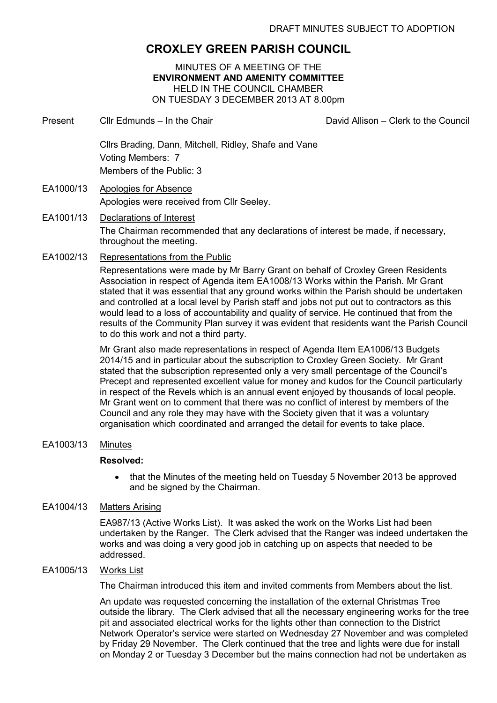# **CROXLEY GREEN PARISH COUNCIL**

MINUTES OF A MEETING OF THE **ENVIRONMENT AND AMENITY COMMITTEE**  HELD IN THE COUNCIL CHAMBER ON TUESDAY 3 DECEMBER 2013 AT 8.00pm

- Present Cllr Edmunds In the Chair Clare Chair David Allison Clerk to the Council Cllrs Brading, Dann, Mitchell, Ridley, Shafe and Vane Voting Members: 7 Members of the Public: 3 EA1000/13 Apologies for Absence
- Apologies were received from Cllr Seeley.
- EA1001/13 Declarations of Interest The Chairman recommended that any declarations of interest be made, if necessary, throughout the meeting.
- EA1002/13 Representations from the Public

Representations were made by Mr Barry Grant on behalf of Croxley Green Residents Association in respect of Agenda item EA1008/13 Works within the Parish. Mr Grant stated that it was essential that any ground works within the Parish should be undertaken and controlled at a local level by Parish staff and jobs not put out to contractors as this would lead to a loss of accountability and quality of service. He continued that from the results of the Community Plan survey it was evident that residents want the Parish Council to do this work and not a third party.

Mr Grant also made representations in respect of Agenda Item EA1006/13 Budgets 2014/15 and in particular about the subscription to Croxley Green Society. Mr Grant stated that the subscription represented only a very small percentage of the Council's Precept and represented excellent value for money and kudos for the Council particularly in respect of the Revels which is an annual event enjoyed by thousands of local people. Mr Grant went on to comment that there was no conflict of interest by members of the Council and any role they may have with the Society given that it was a voluntary organisation which coordinated and arranged the detail for events to take place.

EA1003/13 Minutes

## **Resolved:**

• that the Minutes of the meeting held on Tuesday 5 November 2013 be approved and be signed by the Chairman.

## EA1004/13 Matters Arising

EA987/13 (Active Works List). It was asked the work on the Works List had been undertaken by the Ranger. The Clerk advised that the Ranger was indeed undertaken the works and was doing a very good job in catching up on aspects that needed to be addressed.

#### EA1005/13 Works List

The Chairman introduced this item and invited comments from Members about the list.

An update was requested concerning the installation of the external Christmas Tree outside the library. The Clerk advised that all the necessary engineering works for the tree pit and associated electrical works for the lights other than connection to the District Network Operator's service were started on Wednesday 27 November and was completed by Friday 29 November. The Clerk continued that the tree and lights were due for install on Monday 2 or Tuesday 3 December but the mains connection had not be undertaken as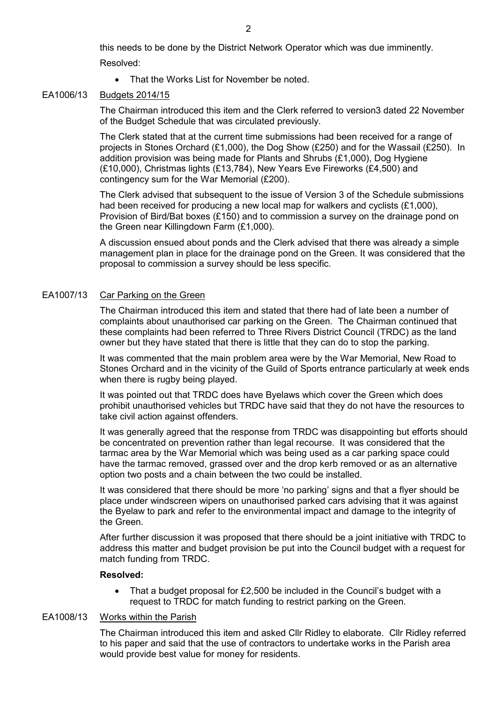this needs to be done by the District Network Operator which was due imminently.

Resolved:

• That the Works List for November be noted.

#### EA1006/13 Budgets 2014/15

The Chairman introduced this item and the Clerk referred to version3 dated 22 November of the Budget Schedule that was circulated previously.

The Clerk stated that at the current time submissions had been received for a range of projects in Stones Orchard (£1,000), the Dog Show (£250) and for the Wassail (£250). In addition provision was being made for Plants and Shrubs (£1,000), Dog Hygiene (£10,000), Christmas lights (£13,784), New Years Eve Fireworks (£4,500) and contingency sum for the War Memorial (£200).

The Clerk advised that subsequent to the issue of Version 3 of the Schedule submissions had been received for producing a new local map for walkers and cyclists (£1,000), Provision of Bird/Bat boxes  $(E150)$  and to commission a survey on the drainage pond on the Green near Killingdown Farm (£1,000).

A discussion ensued about ponds and the Clerk advised that there was already a simple management plan in place for the drainage pond on the Green. It was considered that the proposal to commission a survey should be less specific.

## EA1007/13 Car Parking on the Green

The Chairman introduced this item and stated that there had of late been a number of complaints about unauthorised car parking on the Green. The Chairman continued that these complaints had been referred to Three Rivers District Council (TRDC) as the land owner but they have stated that there is little that they can do to stop the parking.

It was commented that the main problem area were by the War Memorial, New Road to Stones Orchard and in the vicinity of the Guild of Sports entrance particularly at week ends when there is rugby being played.

It was pointed out that TRDC does have Byelaws which cover the Green which does prohibit unauthorised vehicles but TRDC have said that they do not have the resources to take civil action against offenders.

It was generally agreed that the response from TRDC was disappointing but efforts should be concentrated on prevention rather than legal recourse. It was considered that the tarmac area by the War Memorial which was being used as a car parking space could have the tarmac removed, grassed over and the drop kerb removed or as an alternative option two posts and a chain between the two could be installed.

It was considered that there should be more 'no parking' signs and that a flyer should be place under windscreen wipers on unauthorised parked cars advising that it was against the Byelaw to park and refer to the environmental impact and damage to the integrity of the Green.

After further discussion it was proposed that there should be a joint initiative with TRDC to address this matter and budget provision be put into the Council budget with a request for match funding from TRDC.

## **Resolved:**

• That a budget proposal for £2,500 be included in the Council's budget with a request to TRDC for match funding to restrict parking on the Green.

## EA1008/13 Works within the Parish

The Chairman introduced this item and asked Cllr Ridley to elaborate. Cllr Ridley referred to his paper and said that the use of contractors to undertake works in the Parish area would provide best value for money for residents.